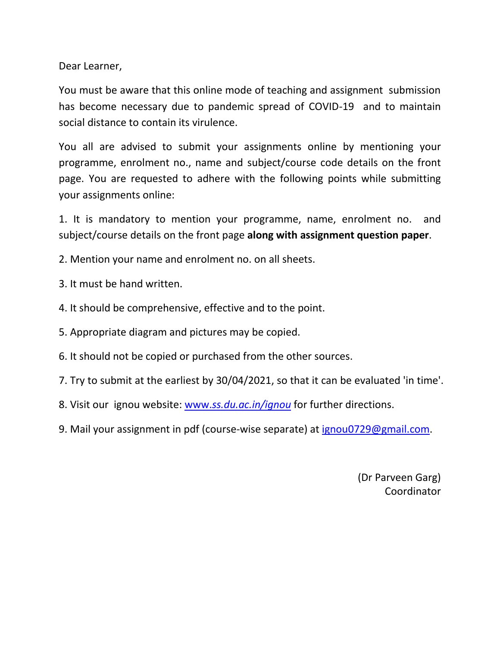Dear Learner,

You must be aware that this online mode of teaching and assignment submission has become necessary due to pandemic spread of COVID-19 and to maintain social distance to contain its virulence.

You all are advised to submit your assignments online by mentioning your programme, enrolment no., name and subject/course code details on the front page. You are requested to adhere with the following points while submitting your assignments online:

1. It is mandatory to mention your programme, name, enrolment no. and subject/course details on the front page **along with assignment question paper**.

- 2. Mention your name and enrolment no. on all sheets.
- 3. It must be hand written.
- 4. It should be comprehensive, effective and to the point.
- 5. Appropriate diagram and pictures may be copied.
- 6. It should not be copied or purchased from the other sources.
- 7. Try to submit at the earliest by 30/04/2021, so that it can be evaluated 'in time'.
- 8. Visit our ignou website: www.*[ss.du.ac.in/ignou](www.ss.du.ac.in/ignou)* for further directions.
- 9. Mail your assignment in pdf (course-wise separate) at [ignou0729@gmail.com.](ignou0729@gmail.com)

(Dr Parveen Garg) Coordinator